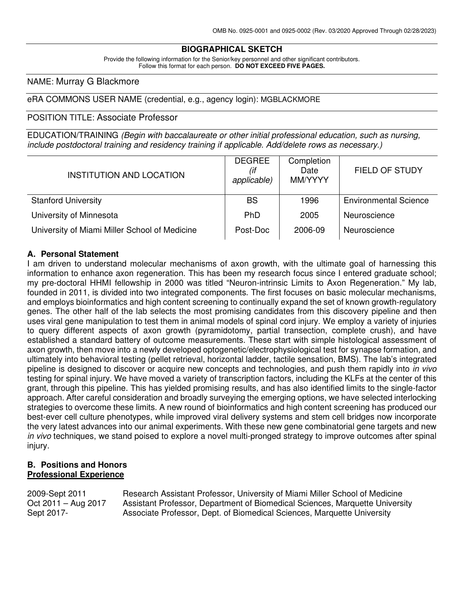### **BIOGRAPHICAL SKETCH**

Provide the following information for the Senior/key personnel and other significant contributors. Follow this format for each person. **DO NOT EXCEED FIVE PAGES.**

#### NAME: Murray G Blackmore

#### eRA COMMONS USER NAME (credential, e.g., agency login): MGBLACKMORE

#### POSITION TITLE: Associate Professor

EDUCATION/TRAINING (Begin with baccalaureate or other initial professional education, such as nursing, include postdoctoral training and residency training if applicable. Add/delete rows as necessary.)

| <b>INSTITUTION AND LOCATION</b>               | <b>DEGREE</b><br>(if<br>applicable) | Completion<br>Date<br>MM/YYYY | <b>FIELD OF STUDY</b>        |
|-----------------------------------------------|-------------------------------------|-------------------------------|------------------------------|
| <b>Stanford University</b>                    | <b>BS</b>                           | 1996                          | <b>Environmental Science</b> |
| University of Minnesota                       | PhD                                 | 2005                          | Neuroscience                 |
| University of Miami Miller School of Medicine | Post-Doc                            | 2006-09                       | Neuroscience                 |

#### **A. Personal Statement**

I am driven to understand molecular mechanisms of axon growth, with the ultimate goal of harnessing this information to enhance axon regeneration. This has been my research focus since I entered graduate school; my pre-doctoral HHMI fellowship in 2000 was titled "Neuron-intrinsic Limits to Axon Regeneration." My lab, founded in 2011, is divided into two integrated components. The first focuses on basic molecular mechanisms, and employs bioinformatics and high content screening to continually expand the set of known growth-regulatory genes. The other half of the lab selects the most promising candidates from this discovery pipeline and then uses viral gene manipulation to test them in animal models of spinal cord injury. We employ a variety of injuries to query different aspects of axon growth (pyramidotomy, partial transection, complete crush), and have established a standard battery of outcome measurements. These start with simple histological assessment of axon growth, then move into a newly developed optogenetic/electrophysiological test for synapse formation, and ultimately into behavioral testing (pellet retrieval, horizontal ladder, tactile sensation, BMS). The lab's integrated pipeline is designed to discover or acquire new concepts and technologies, and push them rapidly into in vivo testing for spinal injury. We have moved a variety of transcription factors, including the KLFs at the center of this grant, through this pipeline. This has yielded promising results, and has also identified limits to the single-factor approach. After careful consideration and broadly surveying the emerging options, we have selected interlocking strategies to overcome these limits. A new round of bioinformatics and high content screening has produced our best-ever cell culture phenotypes, while improved viral delivery systems and stem cell bridges now incorporate the very latest advances into our animal experiments. With these new gene combinatorial gene targets and new in vivo techniques, we stand poised to explore a novel multi-pronged strategy to improve outcomes after spinal injury.

#### **B. Positions and Honors Professional Experience**

2009-Sept 2011 Research Assistant Professor, University of Miami Miller School of Medicine Oct 2011 – Aug 2017 Assistant Professor, Department of Biomedical Sciences, Marquette University Sept 2017- Associate Professor, Dept. of Biomedical Sciences, Marquette University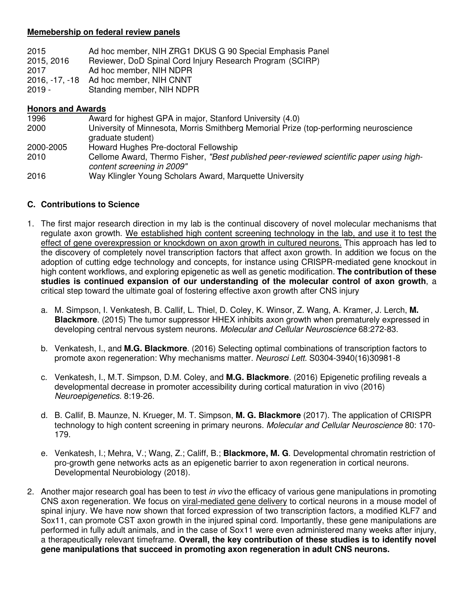### **Memebership on federal review panels**

| 2015           | Ad hoc member, NIH ZRG1 DKUS G 90 Special Emphasis Panel  |
|----------------|-----------------------------------------------------------|
| 2015, 2016     | Reviewer, DoD Spinal Cord Injury Research Program (SCIRP) |
| 2017           | Ad hoc member, NIH NDPR                                   |
| 2016. -17. -18 | Ad hoc member, NIH CNNT                                   |
| $2019 -$       | Standing member, NIH NDPR                                 |

#### **Honors and Awards**

| 1996      | Award for highest GPA in major, Stanford University (4.0)                                                              |
|-----------|------------------------------------------------------------------------------------------------------------------------|
| 2000      | University of Minnesota, Morris Smithberg Memorial Prize (top-performing neuroscience<br>graduate student)             |
| 2000-2005 | Howard Hughes Pre-doctoral Fellowship                                                                                  |
| 2010      | Cellome Award, Thermo Fisher, "Best published peer-reviewed scientific paper using high-<br>content screening in 2009" |
| 2016      | Way Klingler Young Scholars Award, Marquette University                                                                |

### **C. Contributions to Science**

- 1. The first major research direction in my lab is the continual discovery of novel molecular mechanisms that regulate axon growth. We established high content screening technology in the lab, and use it to test the effect of gene overexpression or knockdown on axon growth in cultured neurons. This approach has led to the discovery of completely novel transcription factors that affect axon growth. In addition we focus on the adoption of cutting edge technology and concepts, for instance using CRISPR-mediated gene knockout in high content workflows, and exploring epigenetic as well as genetic modification. **The contribution of these studies is continued expansion of our understanding of the molecular control of axon growth**, a critical step toward the ultimate goal of fostering effective axon growth after CNS injury
	- a. M. Simpson, I. Venkatesh, B. Callif, L. Thiel, D. Coley, K. Winsor, Z. Wang, A. Kramer, J. Lerch, **M. Blackmore**. (2015) The tumor suppressor HHEX inhibits axon growth when prematurely expressed in developing central nervous system neurons. Molecular and Cellular Neuroscience 68:272-83.
	- b. Venkatesh, I., and **M.G. Blackmore**. (2016) Selecting optimal combinations of transcription factors to promote axon regeneration: Why mechanisms matter. Neurosci Lett. S0304-3940(16)30981-8
	- c. Venkatesh, I., M.T. Simpson, D.M. Coley, and **M.G. Blackmore**. (2016) Epigenetic profiling reveals a developmental decrease in promoter accessibility during cortical maturation in vivo (2016) Neuroepigenetics. 8:19-26.
	- d. B. Callif, B. Maunze, N. Krueger, M. T. Simpson, **M. G. Blackmore** (2017). The application of CRISPR technology to high content screening in primary neurons. Molecular and Cellular Neuroscience 80: 170- 179.
	- e. Venkatesh, I.; Mehra, V.; Wang, Z.; Califf, B.; **Blackmore, M. G**. Developmental chromatin restriction of pro-growth gene networks acts as an epigenetic barrier to axon regeneration in cortical neurons. Developmental Neurobiology (2018).
- 2. Another major research goal has been to test in vivo the efficacy of various gene manipulations in promoting CNS axon regeneration. We focus on viral-mediated gene delivery to cortical neurons in a mouse model of spinal injury. We have now shown that forced expression of two transcription factors, a modified KLF7 and Sox11, can promote CST axon growth in the injured spinal cord. Importantly, these gene manipulations are performed in fully adult animals, and in the case of Sox11 were even administered many weeks after injury, a therapeutically relevant timeframe. **Overall, the key contribution of these studies is to identify novel gene manipulations that succeed in promoting axon regeneration in adult CNS neurons.**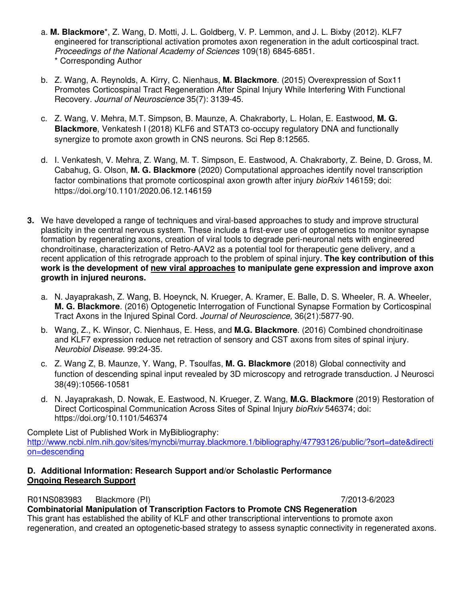- a. **M. Blackmore**\*, Z. Wang, D. Motti, J. L. Goldberg, V. P. Lemmon, and J. L. Bixby (2012). KLF7 engineered for transcriptional activation promotes axon regeneration in the adult corticospinal tract. Proceedings of the National Academy of Sciences 109(18) 6845-6851. \* Corresponding Author
- b. Z. Wang, A. Reynolds, A. Kirry, C. Nienhaus, **M. Blackmore**. (2015) Overexpression of Sox11 Promotes Corticospinal Tract Regeneration After Spinal Injury While Interfering With Functional Recovery. Journal of Neuroscience 35(7): 3139-45.
- c. Z. Wang, V. Mehra, M.T. Simpson, B. Maunze, A. Chakraborty, L. Holan, E. Eastwood, **M. G. Blackmore**, Venkatesh I (2018) KLF6 and STAT3 co-occupy regulatory DNA and functionally synergize to promote axon growth in CNS neurons. Sci Rep 8:12565.
- d. I. Venkatesh, V. Mehra, Z. Wang, M. T. Simpson, E. Eastwood, A. Chakraborty, Z. Beine, D. Gross, M. Cabahug, G. Olson, **M. G. Blackmore** (2020) Computational approaches identify novel transcription factor combinations that promote corticospinal axon growth after injury bioRxiv 146159; doi: https://doi.org/10.1101/2020.06.12.146159
- **3.** We have developed a range of techniques and viral-based approaches to study and improve structural plasticity in the central nervous system. These include a first-ever use of optogenetics to monitor synapse formation by regenerating axons, creation of viral tools to degrade peri-neuronal nets with engineered chondroitinase, characterization of Retro-AAV2 as a potential tool for therapeutic gene delivery, and a recent application of this retrograde approach to the problem of spinal injury. **The key contribution of this work is the development of new viral approaches to manipulate gene expression and improve axon growth in injured neurons.** 
	- a. N. Jayaprakash, Z. Wang, B. Hoeynck, N. Krueger, A. Kramer, E. Balle, D. S. Wheeler, R. A. Wheeler, **M. G. Blackmore**. (2016) Optogenetic Interrogation of Functional Synapse Formation by Corticospinal Tract Axons in the Injured Spinal Cord. Journal of Neuroscience, 36(21):5877-90.
	- b. Wang, Z., K. Winsor, C. Nienhaus, E. Hess, and **M.G. Blackmore**. (2016) Combined chondroitinase and KLF7 expression reduce net retraction of sensory and CST axons from sites of spinal injury. Neurobiol Disease. 99:24-35.
	- c. Z. Wang Z, B. Maunze, Y. Wang, P. Tsoulfas, **M. G. Blackmore** (2018) Global connectivity and function of descending spinal input revealed by 3D microscopy and retrograde transduction. J Neurosci 38(49):10566-10581
	- d. N. Jayaprakash, D. Nowak, E. Eastwood, N. Krueger, Z. Wang, **M.G. Blackmore** (2019) Restoration of Direct Corticospinal Communication Across Sites of Spinal Injury bioRxiv 546374; doi: https://doi.org/10.1101/546374

Complete List of Published Work in MyBibliography: http://www.ncbi.nlm.nih.gov/sites/myncbi/murray.blackmore.1/bibliography/47793126/public/?sort=date&directi on=descending

### **D. Additional Information: Research Support and/or Scholastic Performance Ongoing Research Support**

R01NS083983 Blackmore (PI) 7/2013-6/2023 **Combinatorial Manipulation of Transcription Factors to Promote CNS Regeneration** 

This grant has established the ability of KLF and other transcriptional interventions to promote axon regeneration, and created an optogenetic-based strategy to assess synaptic connectivity in regenerated axons.